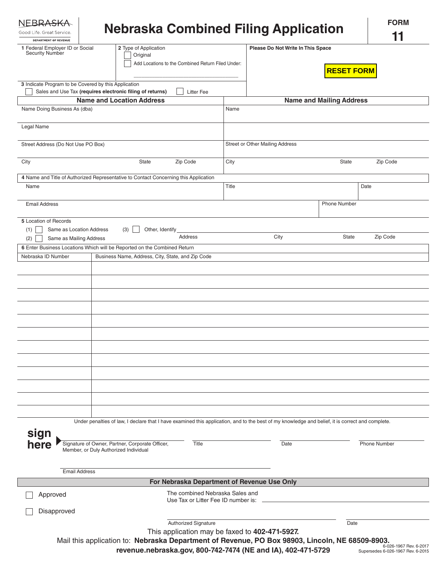| <b>NFBRASKA</b><br>Good Life, Great Service.<br><b>DEPARTMENT OF REVENUE</b>                                                                        | <b>Nebraska Combined Filing Application</b>                                                                                                                                                                       |                                                                        |                                                        | <b>FORM</b><br>11                                           |
|-----------------------------------------------------------------------------------------------------------------------------------------------------|-------------------------------------------------------------------------------------------------------------------------------------------------------------------------------------------------------------------|------------------------------------------------------------------------|--------------------------------------------------------|-------------------------------------------------------------|
| 2 Type of Application<br>1 Federal Employer ID or Social<br><b>Security Number</b><br>Original<br>Add Locations to the Combined Return Filed Under: |                                                                                                                                                                                                                   |                                                                        | Please Do Not Write In This Space<br><b>RESET FORM</b> |                                                             |
| 3 Indicate Program to be Covered by this Application                                                                                                | Sales and Use Tax (requires electronic filing of returns)<br><b>Litter Fee</b>                                                                                                                                    |                                                                        |                                                        |                                                             |
| <b>Name and Location Address</b>                                                                                                                    |                                                                                                                                                                                                                   |                                                                        | <b>Name and Mailing Address</b>                        |                                                             |
| Name Doing Business As (dba)                                                                                                                        |                                                                                                                                                                                                                   | Name                                                                   |                                                        |                                                             |
| Legal Name                                                                                                                                          |                                                                                                                                                                                                                   |                                                                        |                                                        |                                                             |
| Street Address (Do Not Use PO Box)                                                                                                                  |                                                                                                                                                                                                                   |                                                                        | Street or Other Mailing Address                        |                                                             |
| City<br>Zip Code<br>State                                                                                                                           |                                                                                                                                                                                                                   | City                                                                   | <b>State</b>                                           | Zip Code                                                    |
|                                                                                                                                                     | 4 Name and Title of Authorized Representative to Contact Concerning this Application                                                                                                                              |                                                                        |                                                        |                                                             |
| Name                                                                                                                                                |                                                                                                                                                                                                                   | Title                                                                  |                                                        | Date                                                        |
| <b>Email Address</b>                                                                                                                                |                                                                                                                                                                                                                   |                                                                        | <b>Phone Number</b>                                    |                                                             |
| 5 Location of Records<br>(1)<br>Same as Location Address                                                                                            | (3)<br>Other, Identify                                                                                                                                                                                            |                                                                        |                                                        |                                                             |
| (2)<br>Same as Mailing Address                                                                                                                      | Address                                                                                                                                                                                                           |                                                                        | City<br><b>State</b>                                   | Zip Code                                                    |
|                                                                                                                                                     | 6 Enter Business Locations Which will be Reported on the Combined Return                                                                                                                                          |                                                                        |                                                        |                                                             |
| Nebraska ID Number                                                                                                                                  | Business Name, Address, City, State, and Zip Code                                                                                                                                                                 |                                                                        |                                                        |                                                             |
|                                                                                                                                                     |                                                                                                                                                                                                                   |                                                                        |                                                        |                                                             |
|                                                                                                                                                     |                                                                                                                                                                                                                   |                                                                        |                                                        |                                                             |
|                                                                                                                                                     |                                                                                                                                                                                                                   |                                                                        |                                                        |                                                             |
|                                                                                                                                                     | Under penalties of law, I declare that I have examined this application, and to the best of my knowledge and belief, it is correct and complete.                                                                  |                                                                        |                                                        |                                                             |
| sign<br>here                                                                                                                                        | Signature of Owner, Partner, Corporate Officer,<br>Title<br>Member, or Duly Authorized Individual                                                                                                                 |                                                                        | Date                                                   | <b>Phone Number</b>                                         |
| <b>Email Address</b>                                                                                                                                |                                                                                                                                                                                                                   |                                                                        |                                                        |                                                             |
|                                                                                                                                                     | For Nebraska Department of Revenue Use Only                                                                                                                                                                       |                                                                        |                                                        |                                                             |
| Approved                                                                                                                                            |                                                                                                                                                                                                                   | The combined Nebraska Sales and<br>Use Tax or Litter Fee ID number is: |                                                        |                                                             |
| Disapproved                                                                                                                                         |                                                                                                                                                                                                                   |                                                                        |                                                        |                                                             |
|                                                                                                                                                     | <b>Authorized Signature</b>                                                                                                                                                                                       |                                                                        | Date                                                   |                                                             |
|                                                                                                                                                     | This application may be faxed to 402-471-5927.<br>Mail this application to: Nebraska Department of Revenue, PO Box 98903, Lincoln, NE 68509-8903.<br>revenue.nebraska.gov, 800-742-7474 (NE and IA), 402-471-5729 |                                                                        |                                                        | 6-026-1967 Rev. 6-2017<br>Supersedes 6-026-1967 Rev. 6-2015 |